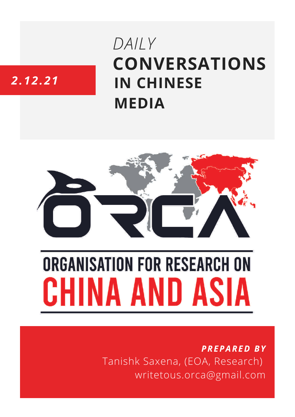## **CONVERSATIONS IN CHINESE MEDIA** *DAILY*

### *2.12.21*



# **ORGANISATION FOR RESEARCH ON** HINA AND ASIA

*PREPARED BY* Tanishk Saxena, (EOA, Research) writetous.orca@gmail.com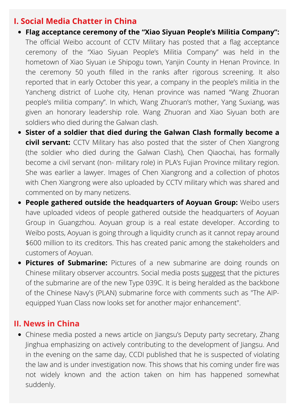#### **I. Social Media Chatter in China**

- **Flag acceptance ceremony of the "Xiao Siyuan People's Militia Company":** The official Weibo account of CCTV Military has posted that a flag acceptance ceremony of the "Xiao Siyuan People's Militia Company" was held in the hometown of Xiao Siyuan i.e Shipogu town, Yanjin County in Henan Province. In the ceremony 50 youth filled in the ranks after rigorous screening. It also reported that in early October this year, a company in the people's militia in the Yancheng district of Luohe city, Henan province was named "Wang Zhuoran people's militia company". In which, Wang Zhuoran's mother, Yang Suxiang, was given an honorary leadership role. Wang Zhuoran and Xiao Siyuan both are soldiers who died during the Galwan clash.
- **Sister of a soldier that died during the Galwan Clash formally become a civil servant:** CCTV Military has also posted that the sister of Chen Xiangrong (the soldier who died during the Galwan Clash), Chen Qiaochai, has formally become a civil servant (non- military role) in PLA's Fujian Province military region. She was earlier a lawyer. Images of Chen Xiangrong and a collection of photos with Chen Xiangrong were also uploaded by CCTV military which was shared and commented on by many netizens.
- **People gathered outside the headquarters of Aoyuan Group:** Weibo users have uploaded videos of people gathered outside the headquarters of Aoyuan Group in Guangzhou. Aoyuan group is a real estate developer. According to Weibo posts, Aoyuan is going through a liquidity crunch as it cannot repay around \$600 million to its creditors. This has created panic among the stakeholders and customers of Aoyuan.
- **Pictures of Submarine:** Pictures of a new submarine are doing rounds on Chinese military observer accountrs. Social media posts [suggest](http://www.hisutton.com/Chinese-Type-039C-Yuan-%20Class-Submarine.html) that the pictures of the submarine are of the new Type 039C. It is being heralded as the backbone of the Chinese Navy's (PLAN) submarine force with comments such as "The AIPequipped Yuan Class now looks set for another major enhancement".

#### **II. News in China**

Chinese media posted a news article on Jiangsu's Deputy party secretary, Zhang Jinghua emphasizing on actively contributing to the development of Jiangsu. And in the evening on the same day, CCDI published that he is suspected of violating the law and is under investigation now. This shows that his coming under fire was not widely known and the action taken on him has happened somewhat suddenly.